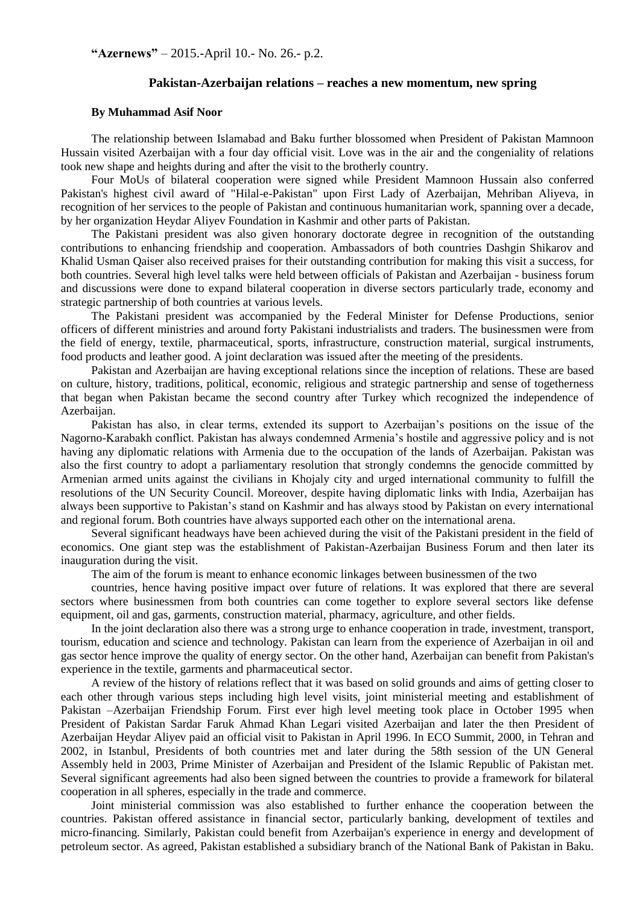**"Azernews"** – 2015.-April 10.- No. 26.- p.2.

## **Pakistan-Azerbaijan relations – reaches a new momentum, new spring**

## **By Muhammad Asif Noor**

The relationship between Islamabad and Baku further blossomed when President of Pakistan Mamnoon Hussain visited Azerbaijan with a four day official visit. Love was in the air and the congeniality of relations took new shape and heights during and after the visit to the brotherly country.

Four MoUs of bilateral cooperation were signed while President Mamnoon Hussain also conferred Pakistan's highest civil award of "Hilal-e-Pakistan" upon First Lady of Azerbaijan, Mehriban Aliyeva, in recognition of her services to the people of Pakistan and continuous humanitarian work, spanning over a decade, by her organization Heydar Aliyev Foundation in Kashmir and other parts of Pakistan.

The Pakistani president was also given honorary doctorate degree in recognition of the outstanding contributions to enhancing friendship and cooperation. Ambassadors of both countries Dashgin Shikarov and Khalid Usman Qaiser also received praises for their outstanding contribution for making this visit a success, for both countries. Several high level talks were held between officials of Pakistan and Azerbaijan - business forum and discussions were done to expand bilateral cooperation in diverse sectors particularly trade, economy and strategic partnership of both countries at various levels.

The Pakistani president was accompanied by the Federal Minister for Defense Productions, senior officers of different ministries and around forty Pakistani industrialists and traders. The businessmen were from the field of energy, textile, pharmaceutical, sports, infrastructure, construction material, surgical instruments, food products and leather good. A joint declaration was issued after the meeting of the presidents.

Pakistan and Azerbaijan are having exceptional relations since the inception of relations. These are based on culture, history, traditions, political, economic, religious and strategic partnership and sense of togetherness that began when Pakistan became the second country after Turkey which recognized the independence of Azerbaijan.

Pakistan has also, in clear terms, extended its support to Azerbaijan's positions on the issue of the Nagorno-Karabakh conflict. Pakistan has always condemned Armenia's hostile and aggressive policy and is not having any diplomatic relations with Armenia due to the occupation of the lands of Azerbaijan. Pakistan was also the first country to adopt a parliamentary resolution that strongly condemns the genocide committed by Armenian armed units against the civilians in Khojaly city and urged international community to fulfill the resolutions of the UN Security Council. Moreover, despite having diplomatic links with India, Azerbaijan has always been supportive to Pakistan's stand on Kashmir and has always stood by Pakistan on every international and regional forum. Both countries have always supported each other on the international arena.

Several significant headways have been achieved during the visit of the Pakistani president in the field of economics. One giant step was the establishment of Pakistan-Azerbaijan Business Forum and then later its inauguration during the visit.

The aim of the forum is meant to enhance economic linkages between businessmen of the two

countries, hence having positive impact over future of relations. It was explored that there are several sectors where businessmen from both countries can come together to explore several sectors like defense equipment, oil and gas, garments, construction material, pharmacy, agriculture, and other fields.

In the joint declaration also there was a strong urge to enhance cooperation in trade, investment, transport, tourism, education and science and technology. Pakistan can learn from the experience of Azerbaijan in oil and gas sector hence improve the quality of energy sector. On the other hand, Azerbaijan can benefit from Pakistan's experience in the textile, garments and pharmaceutical sector.

A review of the history of relations reflect that it was based on solid grounds and aims of getting closer to each other through various steps including high level visits, joint ministerial meeting and establishment of Pakistan –Azerbaijan Friendship Forum. First ever high level meeting took place in October 1995 when President of Pakistan Sardar Faruk Ahmad Khan Legari visited Azerbaijan and later the then President of Azerbaijan Heydar Aliyev paid an official visit to Pakistan in April 1996. In ECO Summit, 2000, in Tehran and 2002, in Istanbul, Presidents of both countries met and later during the 58th session of the UN General Assembly held in 2003, Prime Minister of Azerbaijan and President of the Islamic Republic of Pakistan met. Several significant agreements had also been signed between the countries to provide a framework for bilateral cooperation in all spheres, especially in the trade and commerce.

Joint ministerial commission was also established to further enhance the cooperation between the countries. Pakistan offered assistance in financial sector, particularly banking, development of textiles and micro-financing. Similarly, Pakistan could benefit from Azerbaijan's experience in energy and development of petroleum sector. As agreed, Pakistan established a subsidiary branch of the National Bank of Pakistan in Baku.